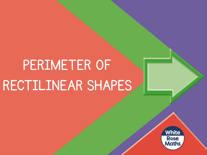## PERIMETER OF RECTILINEAR SHAPES

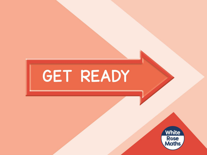# GET READY

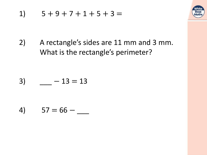



 $2)$ A rectangle's sides are 11 mm and 3 mm. What is the rectangle's perimeter?

$$
3) \qquad \qquad -13 = 13
$$

$$
4) \qquad 57 = 66 - \_
$$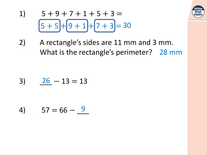

- $5+9+7+1+5+3=$  $1)$  $[5 + 5] + [9 + 1] + [7 + 3] = 30$
- $2)$ A rectangle's sides are 11 mm and 3 mm. What is the rectangle's perimeter? 28 mm

$$
3) \qquad \underline{26} - 13 = 13
$$

$$
4) \qquad 57 = 66 - \underline{9}
$$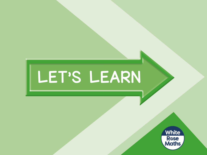# LET'S LEARN

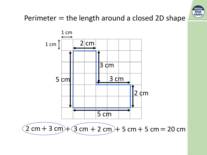

### Perimeter  $=$  the length around a closed 2D shape



 $(2 \text{ cm} + 3 \text{ cm}) + (3 \text{ cm} + 2 \text{ cm}) + 5 \text{ cm} + 5 \text{ cm} = 20 \text{ cm}$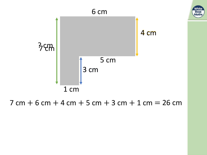

#### $7 cm + 6 cm + 4 cm + 5 cm + 3 cm + 1 cm = 26 cm$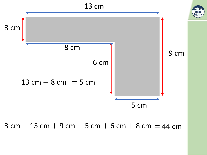

 $3$  cm  $+$  13 cm  $+$  9 cm  $+$  5 cm  $+$  6 cm  $+$  8 cm  $=$  44 cm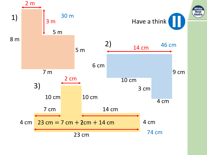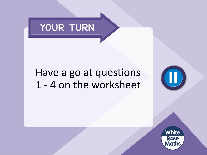

### Have a go at questions 1 - 4 on the worksheet

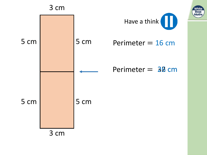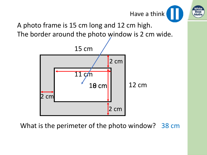

A photo frame is 15 cm long and 12 cm high. The border around the photo window is 2 cm wide.



What is the perimeter of the photo window? 38 cm